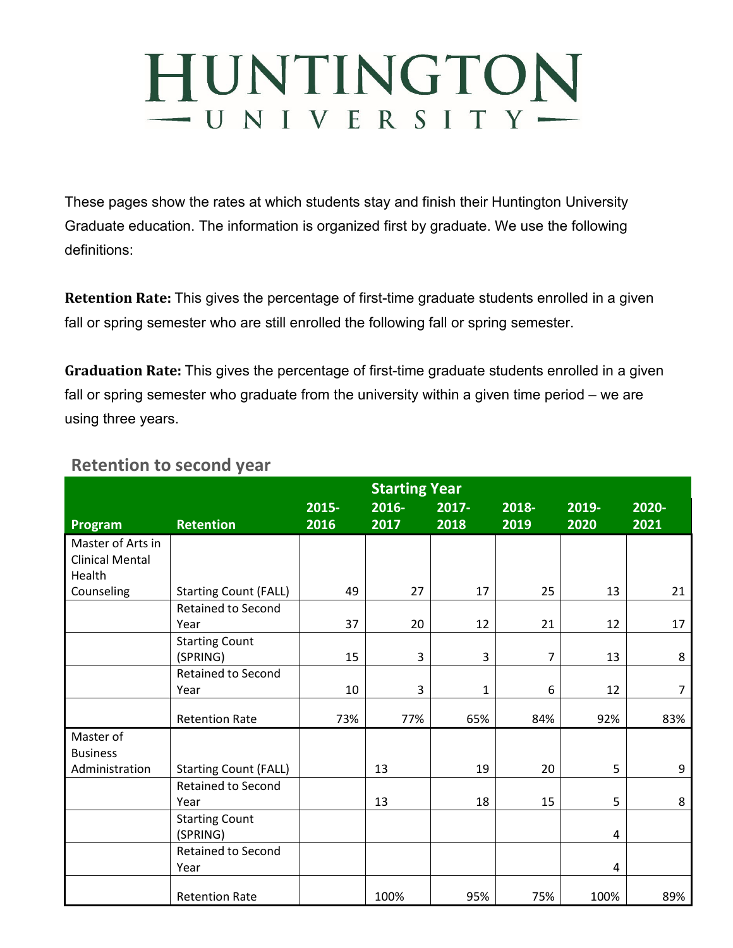## HUNTINGTON  $-$  UNIVERSITY $-$

These pages show the rates at which students stay and finish their Huntington University Graduate education. The information is organized first by graduate. We use the following definitions:

**Retention Rate:** This gives the percentage of first-time graduate students enrolled in a given fall or spring semester who are still enrolled the following fall or spring semester.

**Graduation Rate:** This gives the percentage of first-time graduate students enrolled in a given fall or spring semester who graduate from the university within a given time period – we are using three years.

## **Retention to second year**

|                        | <b>Starting Year</b>         |       |       |              |       |       |       |
|------------------------|------------------------------|-------|-------|--------------|-------|-------|-------|
|                        |                              | 2015- | 2016- | 2017-        | 2018- | 2019- | 2020- |
| Program                | <b>Retention</b>             | 2016  | 2017  | 2018         | 2019  | 2020  | 2021  |
| Master of Arts in      |                              |       |       |              |       |       |       |
| <b>Clinical Mental</b> |                              |       |       |              |       |       |       |
| Health                 |                              |       |       |              |       |       |       |
| Counseling             | <b>Starting Count (FALL)</b> | 49    | 27    | 17           | 25    | 13    | 21    |
|                        | <b>Retained to Second</b>    |       |       |              |       |       |       |
|                        | Year                         | 37    | 20    | 12           | 21    | 12    | 17    |
|                        | <b>Starting Count</b>        |       |       |              |       |       |       |
|                        | (SPRING)                     | 15    | 3     | 3            | 7     | 13    | 8     |
|                        | <b>Retained to Second</b>    |       |       |              |       |       |       |
|                        | Year                         | 10    | 3     | $\mathbf{1}$ | 6     | 12    | 7     |
|                        | <b>Retention Rate</b>        | 73%   | 77%   | 65%          | 84%   | 92%   | 83%   |
| Master of              |                              |       |       |              |       |       |       |
| <b>Business</b>        |                              |       |       |              |       |       |       |
| Administration         | <b>Starting Count (FALL)</b> |       | 13    | 19           | 20    | 5     | 9     |
|                        | <b>Retained to Second</b>    |       |       |              |       |       |       |
|                        | Year                         |       | 13    | 18           | 15    | 5     | 8     |
|                        | <b>Starting Count</b>        |       |       |              |       |       |       |
|                        | (SPRING)                     |       |       |              |       | 4     |       |
|                        | <b>Retained to Second</b>    |       |       |              |       |       |       |
|                        | Year                         |       |       |              |       | 4     |       |
|                        | <b>Retention Rate</b>        |       | 100%  | 95%          | 75%   | 100%  | 89%   |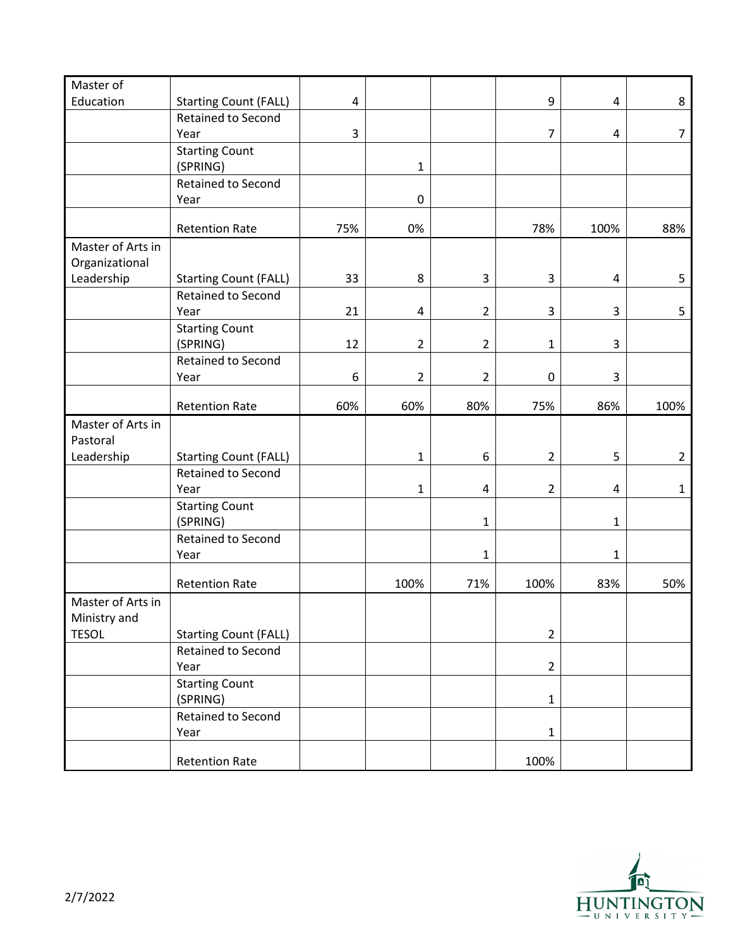| Master of<br>Education | <b>Starting Count (FALL)</b>      | $\overline{\mathbf{4}}$ |                |                | 9              | $\overline{a}$          | 8              |
|------------------------|-----------------------------------|-------------------------|----------------|----------------|----------------|-------------------------|----------------|
|                        | <b>Retained to Second</b>         |                         |                |                |                |                         |                |
|                        | Year                              | 3                       |                |                | $\overline{7}$ | $\overline{\mathbf{4}}$ | $\overline{7}$ |
|                        | <b>Starting Count</b>             |                         |                |                |                |                         |                |
|                        | (SPRING)                          |                         | $\mathbf{1}$   |                |                |                         |                |
|                        | Retained to Second                |                         |                |                |                |                         |                |
|                        | Year                              |                         | 0              |                |                |                         |                |
|                        | <b>Retention Rate</b>             | 75%                     | 0%             |                | 78%            | 100%                    | 88%            |
| Master of Arts in      |                                   |                         |                |                |                |                         |                |
| Organizational         |                                   |                         |                |                |                |                         |                |
| Leadership             | <b>Starting Count (FALL)</b>      | 33                      | 8              | 3              | 3              | $\overline{a}$          | 5              |
|                        | Retained to Second                |                         |                |                |                |                         |                |
|                        | Year                              | 21                      | 4              | $\overline{2}$ | 3              | 3                       | 5              |
|                        | <b>Starting Count</b>             |                         |                |                |                |                         |                |
|                        | (SPRING)                          | 12                      | $\overline{2}$ | $\overline{2}$ | $\mathbf{1}$   | 3                       |                |
|                        | Retained to Second                |                         |                |                |                |                         |                |
|                        | Year                              | 6                       | $\overline{2}$ | $\overline{2}$ | $\pmb{0}$      | 3                       |                |
|                        | <b>Retention Rate</b>             | 60%                     | 60%            | 80%            | 75%            | 86%                     | 100%           |
| Master of Arts in      |                                   |                         |                |                |                |                         |                |
| Pastoral               |                                   |                         |                |                |                |                         |                |
| Leadership             | <b>Starting Count (FALL)</b>      |                         | $\mathbf{1}$   | 6              | $\overline{2}$ | 5                       | $\overline{2}$ |
|                        | Retained to Second                |                         |                |                |                |                         |                |
|                        | Year                              |                         | $\mathbf{1}$   | 4              | $\overline{2}$ | $\overline{\mathbf{4}}$ | $\mathbf{1}$   |
|                        | <b>Starting Count</b><br>(SPRING) |                         |                | $\mathbf{1}$   |                | $\mathbf{1}$            |                |
|                        | Retained to Second                |                         |                |                |                |                         |                |
|                        | Year                              |                         |                | $\mathbf{1}$   |                | $\mathbf{1}$            |                |
|                        | <b>Retention Rate</b>             |                         | 100%           | 71%            | 100%           | 83%                     | 50%            |
| Master of Arts in      |                                   |                         |                |                |                |                         |                |
| Ministry and           |                                   |                         |                |                |                |                         |                |
| <b>TESOL</b>           | <b>Starting Count (FALL)</b>      |                         |                |                | $\overline{2}$ |                         |                |
|                        | Retained to Second                |                         |                |                |                |                         |                |
|                        | Year                              |                         |                |                | $\overline{2}$ |                         |                |
|                        | <b>Starting Count</b>             |                         |                |                |                |                         |                |
|                        | (SPRING)                          |                         |                |                | $\mathbf{1}$   |                         |                |
|                        | Retained to Second                |                         |                |                |                |                         |                |
|                        | Year                              |                         |                |                | $\mathbf{1}$   |                         |                |
|                        | <b>Retention Rate</b>             |                         |                |                | 100%           |                         |                |